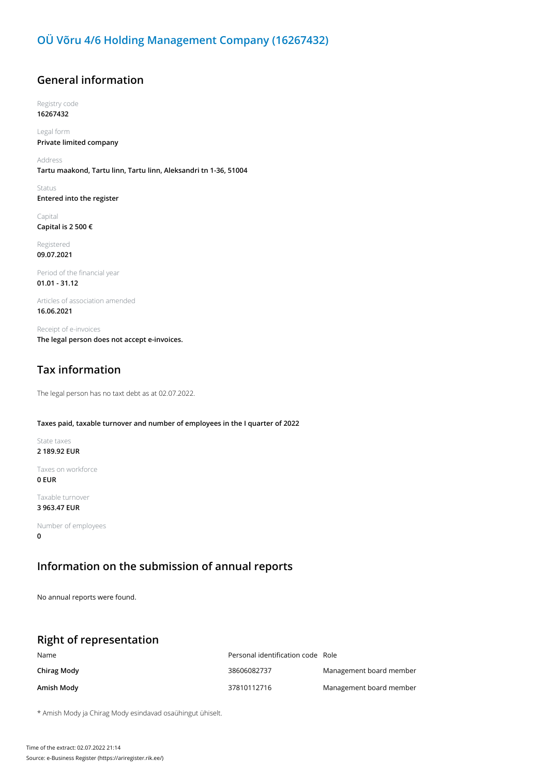### **General information**

Registry code **16267432**

Legal form **Private limited company**

Address **Tartu maakond, Tartu linn, Tartu linn, Aleksandri tn 1-36, 51004**

Status **Entered into the register**

Capital **Capital is 2 500 €**

Registered **09.07.2021**

Period of the financial year **01.01 - 31.12**

Articles of association amended **16.06.2021**

Receipt of e-invoices **The legal person does not accept e-invoices.**

# **Tax information**

The legal person has no taxt debt as at 02.07.2022.

#### **Taxes paid, taxable turnover and number of employees in the I quarter of 2022**

State taxes **2 189.92 EUR**

Taxes on workforce **0 EUR**

Taxable turnover

**3 963.47 EUR**

Number of employees **0**

#### **Information on the submission of annual reports**

No annual reports were found.

#### **Right of representation**

| Name        | Personal identification code Role |                         |
|-------------|-----------------------------------|-------------------------|
| Chirag Mody | 38606082737                       | Management board member |
| Amish Mody  | 37810112716                       | Management board member |

\* Amish Mody ja Chirag Mody esindavad osaühingut ühiselt.